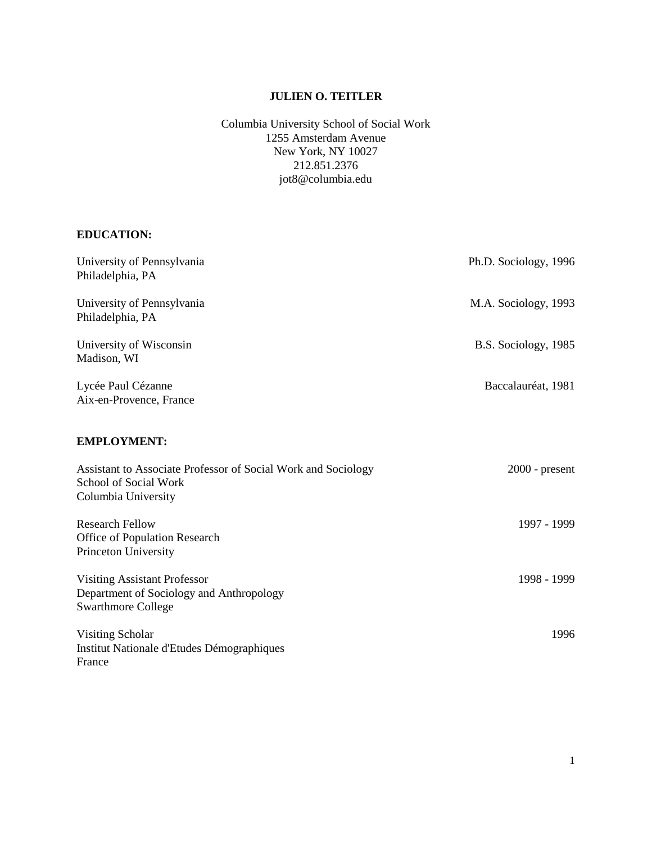# **JULIEN O. TEITLER**

Columbia University School of Social Work 1255 Amsterdam Avenue New York, NY 10027 212.851.2376 jot8@columbia.edu

## **EDUCATION:**

| University of Pennsylvania<br>Philadelphia, PA                                                                | Ph.D. Sociology, 1996 |
|---------------------------------------------------------------------------------------------------------------|-----------------------|
| University of Pennsylvania<br>Philadelphia, PA                                                                | M.A. Sociology, 1993  |
| University of Wisconsin<br>Madison, WI                                                                        | B.S. Sociology, 1985  |
| Lycée Paul Cézanne<br>Aix-en-Provence, France                                                                 | Baccalauréat, 1981    |
| <b>EMPLOYMENT:</b>                                                                                            |                       |
| Assistant to Associate Professor of Social Work and Sociology<br>School of Social Work<br>Columbia University | $2000$ - present      |
| <b>Research Fellow</b><br>Office of Population Research<br>Princeton University                               | 1997 - 1999           |
| <b>Visiting Assistant Professor</b><br>Department of Sociology and Anthropology<br><b>Swarthmore College</b>  | 1998 - 1999           |
| Visiting Scholar<br>Institut Nationale d'Etudes Démographiques<br>France                                      | 1996                  |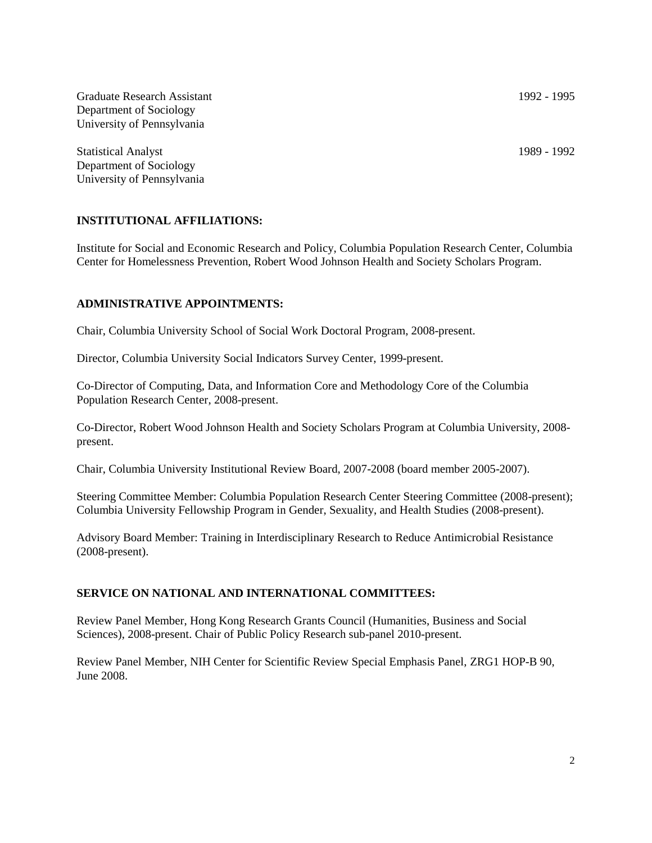Graduate Research Assistant 1992 - 1995 Department of Sociology University of Pennsylvania

Statistical Analyst 1989 - 1992 Department of Sociology University of Pennsylvania

## **INSTITUTIONAL AFFILIATIONS:**

Institute for Social and Economic Research and Policy, Columbia Population Research Center, Columbia Center for Homelessness Prevention, Robert Wood Johnson Health and Society Scholars Program.

### **ADMINISTRATIVE APPOINTMENTS:**

Chair, Columbia University School of Social Work Doctoral Program, 2008-present.

Director, Columbia University Social Indicators Survey Center, 1999-present.

Co-Director of Computing, Data, and Information Core and Methodology Core of the Columbia Population Research Center, 2008-present.

Co-Director, Robert Wood Johnson Health and Society Scholars Program at Columbia University, 2008 present.

Chair, Columbia University Institutional Review Board, 2007-2008 (board member 2005-2007).

Steering Committee Member: Columbia Population Research Center Steering Committee (2008-present); Columbia University Fellowship Program in Gender, Sexuality, and Health Studies (2008-present).

Advisory Board Member: Training in Interdisciplinary Research to Reduce Antimicrobial Resistance (2008-present).

#### **SERVICE ON NATIONAL AND INTERNATIONAL COMMITTEES:**

Review Panel Member, Hong Kong Research Grants Council (Humanities, Business and Social Sciences), 2008-present. Chair of Public Policy Research sub-panel 2010-present.

Review Panel Member, NIH Center for Scientific Review Special Emphasis Panel, ZRG1 HOP-B 90, June 2008.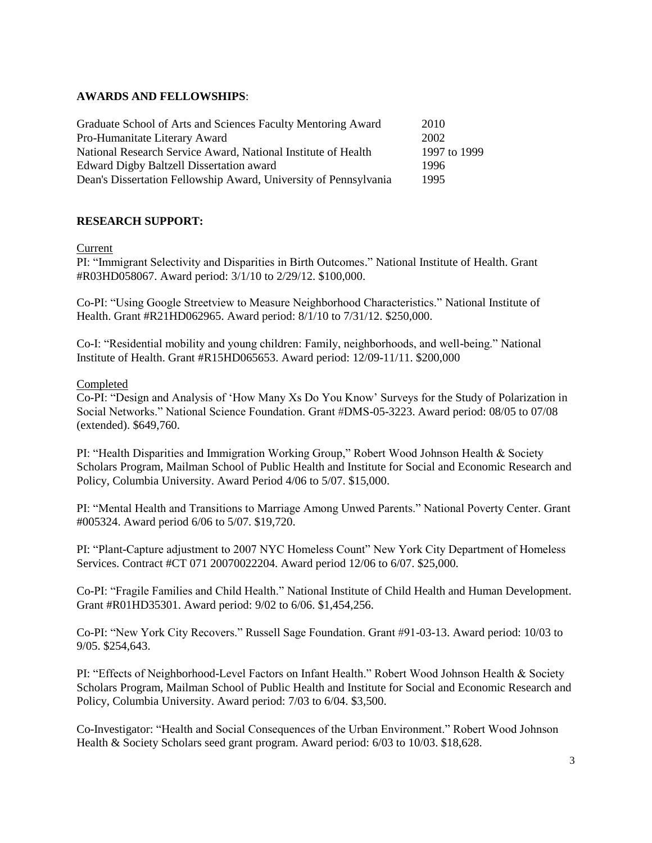# **AWARDS AND FELLOWSHIPS**:

| Graduate School of Arts and Sciences Faculty Mentoring Award     | 2010         |
|------------------------------------------------------------------|--------------|
| Pro-Humanitate Literary Award                                    | 2002         |
| National Research Service Award, National Institute of Health    | 1997 to 1999 |
| Edward Digby Baltzell Dissertation award                         | 1996         |
| Dean's Dissertation Fellowship Award, University of Pennsylvania | 1995         |

# **RESEARCH SUPPORT:**

Current

PI: "Immigrant Selectivity and Disparities in Birth Outcomes." National Institute of Health. Grant #R03HD058067. Award period: 3/1/10 to 2/29/12. \$100,000.

Co-PI: "Using Google Streetview to Measure Neighborhood Characteristics." National Institute of Health. Grant #R21HD062965. Award period: 8/1/10 to 7/31/12. \$250,000.

Co-I: "Residential mobility and young children: Family, neighborhoods, and well-being." National Institute of Health. Grant #R15HD065653. Award period: 12/09-11/11. \$200,000

## Completed

Co-PI: "Design and Analysis of "How Many Xs Do You Know" Surveys for the Study of Polarization in Social Networks." National Science Foundation. Grant #DMS-05-3223. Award period: 08/05 to 07/08 (extended). \$649,760.

PI: "Health Disparities and Immigration Working Group," Robert Wood Johnson Health & Society Scholars Program, Mailman School of Public Health and Institute for Social and Economic Research and Policy, Columbia University. Award Period 4/06 to 5/07. \$15,000.

PI: "Mental Health and Transitions to Marriage Among Unwed Parents." National Poverty Center. Grant #005324. Award period 6/06 to 5/07. \$19,720.

PI: "Plant-Capture adjustment to 2007 NYC Homeless Count" New York City Department of Homeless Services. Contract #CT 071 20070022204. Award period 12/06 to 6/07. \$25,000.

Co-PI: "Fragile Families and Child Health." National Institute of Child Health and Human Development. Grant #R01HD35301. Award period: 9/02 to 6/06. \$1,454,256.

Co-PI: "New York City Recovers." Russell Sage Foundation. Grant #91-03-13. Award period: 10/03 to 9/05. \$254,643.

PI: "Effects of Neighborhood-Level Factors on Infant Health." Robert Wood Johnson Health & Society Scholars Program, Mailman School of Public Health and Institute for Social and Economic Research and Policy, Columbia University. Award period: 7/03 to 6/04. \$3,500.

Co-Investigator: "Health and Social Consequences of the Urban Environment." Robert Wood Johnson Health & Society Scholars seed grant program. Award period: 6/03 to 10/03. \$18,628.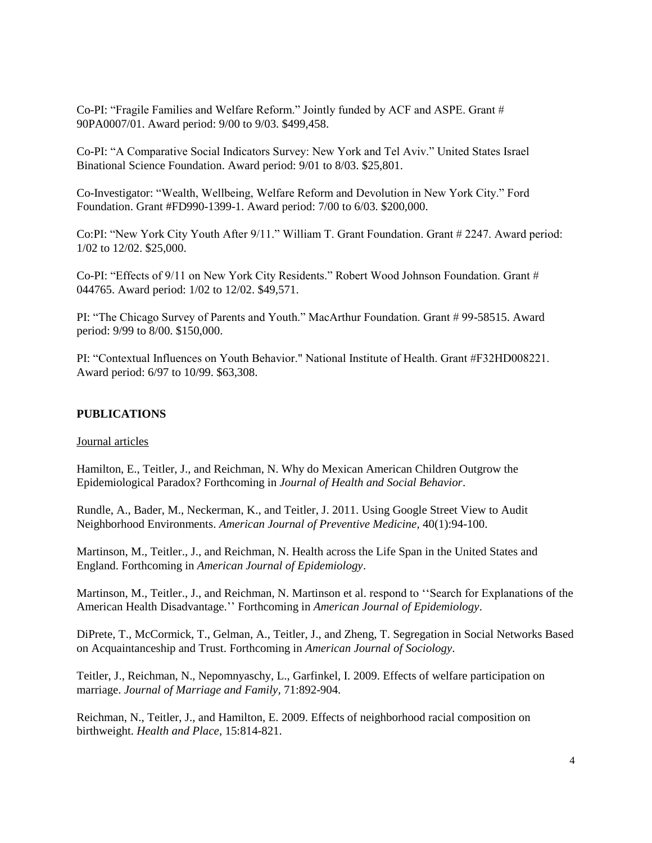Co-PI: "Fragile Families and Welfare Reform." Jointly funded by ACF and ASPE. Grant # 90PA0007/01. Award period: 9/00 to 9/03. \$499,458.

Co-PI: "A Comparative Social Indicators Survey: New York and Tel Aviv." United States Israel Binational Science Foundation. Award period: 9/01 to 8/03. \$25,801.

Co-Investigator: "Wealth, Wellbeing, Welfare Reform and Devolution in New York City." Ford Foundation. Grant #FD990-1399-1. Award period: 7/00 to 6/03. \$200,000.

Co:PI: "New York City Youth After 9/11." William T. Grant Foundation. Grant # 2247. Award period: 1/02 to 12/02. \$25,000.

Co-PI: "Effects of 9/11 on New York City Residents." Robert Wood Johnson Foundation. Grant # 044765. Award period: 1/02 to 12/02. \$49,571.

PI: "The Chicago Survey of Parents and Youth." MacArthur Foundation. Grant # 99-58515. Award period: 9/99 to 8/00. \$150,000.

PI: "Contextual Influences on Youth Behavior." National Institute of Health. Grant #F32HD008221. Award period: 6/97 to 10/99. \$63,308.

### **PUBLICATIONS**

#### Journal articles

Hamilton, E., Teitler, J., and Reichman, N. Why do Mexican American Children Outgrow the Epidemiological Paradox? Forthcoming in *Journal of Health and Social Behavior*.

Rundle, A., Bader, M., Neckerman, K., and Teitler, J. 2011. Using Google Street View to Audit Neighborhood Environments. *American Journal of Preventive Medicine,* 40(1):94-100.

Martinson, M., Teitler., J., and Reichman, N. Health across the Life Span in the United States and England. Forthcoming in *American Journal of Epidemiology*.

Martinson, M., Teitler., J., and Reichman, N. Martinson et al. respond to ""Search for Explanations of the American Health Disadvantage."" Forthcoming in *American Journal of Epidemiology*.

DiPrete, T., McCormick, T., Gelman, A., Teitler, J., and Zheng, T. Segregation in Social Networks Based on Acquaintanceship and Trust. Forthcoming in *American Journal of Sociology*.

Teitler, J., Reichman, N., Nepomnyaschy, L., Garfinkel, I. 2009. Effects of welfare participation on marriage. *Journal of Marriage and Family,* 71:892-904.

Reichman, N., Teitler, J., and Hamilton, E. 2009. Effects of neighborhood racial composition on birthweight. *Health and Place,* 15:814-821.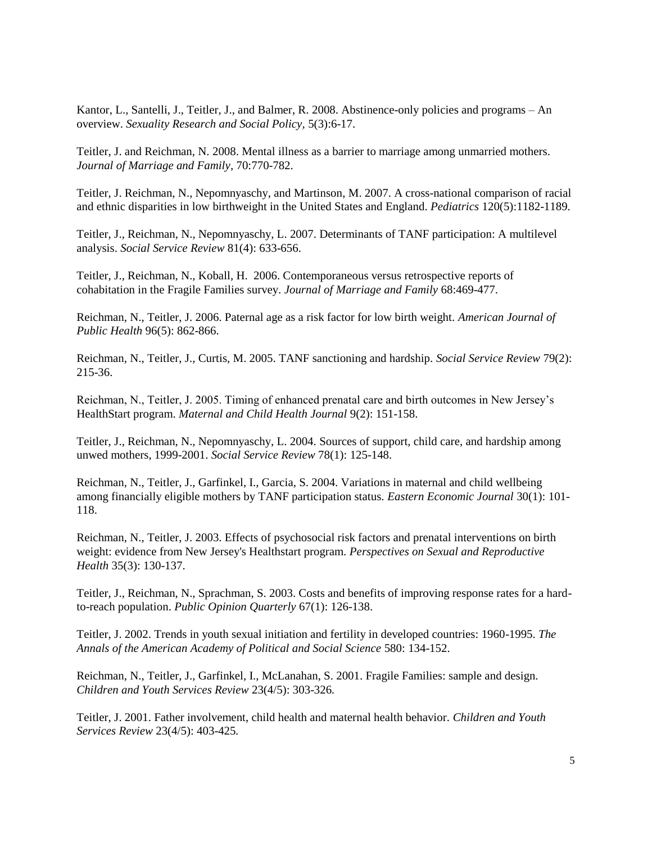Kantor, L., Santelli, J., Teitler, J., and Balmer, R. 2008. Abstinence-only policies and programs – An overview. *Sexuality Research and Social Policy,* 5(3):6-17.

Teitler, J. and Reichman, N. 2008. Mental illness as a barrier to marriage among unmarried mothers. *Journal of Marriage and Family,* 70:770-782.

Teitler, J. Reichman, N., Nepomnyaschy, and Martinson, M. 2007. A cross-national comparison of racial and ethnic disparities in low birthweight in the United States and England. *Pediatrics* 120(5):1182-1189.

Teitler, J., Reichman, N., Nepomnyaschy, L. 2007. Determinants of TANF participation: A multilevel analysis. *Social Service Review* 81(4): 633-656.

Teitler, J., Reichman, N., Koball, H. 2006. Contemporaneous versus retrospective reports of cohabitation in the Fragile Families survey. *Journal of Marriage and Family* 68:469-477.

Reichman, N., Teitler, J. 2006. Paternal age as a risk factor for low birth weight. *American Journal of Public Health* 96(5): 862-866.

Reichman, N., Teitler, J., Curtis, M. 2005. TANF sanctioning and hardship. *Social Service Review* 79(2): 215-36.

Reichman, N., Teitler, J. 2005. Timing of enhanced prenatal care and birth outcomes in New Jersey"s HealthStart program. *Maternal and Child Health Journal* 9(2): 151-158.

Teitler, J., Reichman, N., Nepomnyaschy, L. 2004. Sources of support, child care, and hardship among unwed mothers, 1999-2001. *Social Service Review* 78(1): 125-148.

Reichman, N., Teitler, J., Garfinkel, I., Garcia, S. 2004. Variations in maternal and child wellbeing among financially eligible mothers by TANF participation status. *Eastern Economic Journal* 30(1): 101- 118.

Reichman, N., Teitler, J. 2003. Effects of psychosocial risk factors and prenatal interventions on birth weight: evidence from New Jersey's Healthstart program. *Perspectives on Sexual and Reproductive Health* 35(3): 130-137.

Teitler, J., Reichman, N., Sprachman, S. 2003. Costs and benefits of improving response rates for a hardto-reach population. *Public Opinion Quarterly* 67(1): 126-138.

Teitler, J. 2002. Trends in youth sexual initiation and fertility in developed countries: 1960-1995. *The Annals of the American Academy of Political and Social Science* 580: 134-152.

Reichman, N., Teitler, J., Garfinkel, I., McLanahan, S. 2001. Fragile Families: sample and design*. Children and Youth Services Review* 23(4/5): 303-326*.*

Teitler, J. 2001. Father involvement, child health and maternal health behavior*. Children and Youth Services Review* 23(4/5): 403-425*.*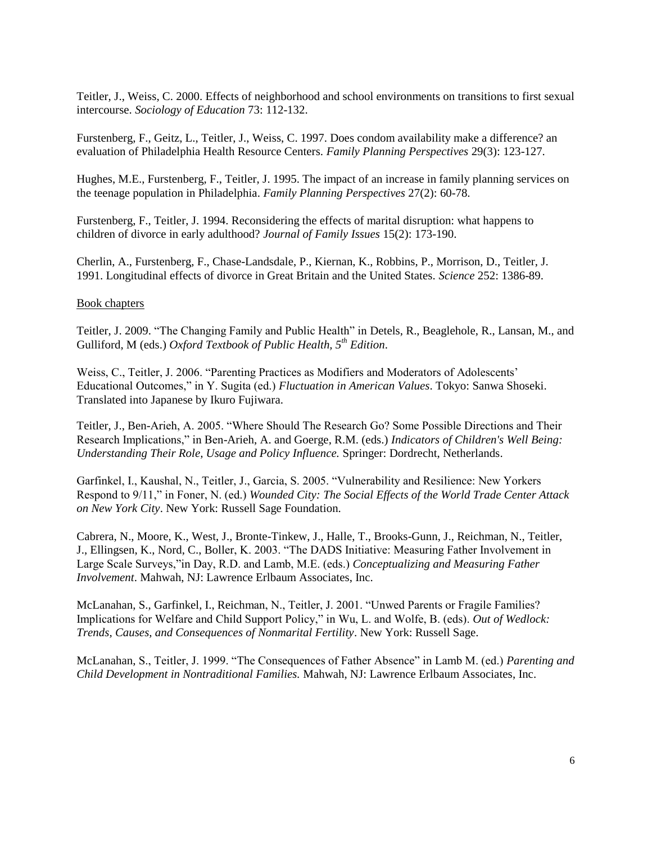Teitler, J., Weiss, C. 2000. Effects of neighborhood and school environments on transitions to first sexual intercourse. *Sociology of Education* 73: 112-132.

Furstenberg, F., Geitz, L., Teitler, J., Weiss, C. 1997. Does condom availability make a difference? an evaluation of Philadelphia Health Resource Centers. *Family Planning Perspectives* 29(3): 123-127.

Hughes, M.E., Furstenberg, F., Teitler, J. 1995. The impact of an increase in family planning services on the teenage population in Philadelphia. *Family Planning Perspectives* 27(2): 60-78.

Furstenberg, F., Teitler, J. 1994. Reconsidering the effects of marital disruption: what happens to children of divorce in early adulthood? *Journal of Family Issues* 15(2): 173-190.

Cherlin, A., Furstenberg, F., Chase-Landsdale, P., Kiernan, K., Robbins, P., Morrison, D., Teitler, J. 1991. Longitudinal effects of divorce in Great Britain and the United States. *Science* 252: 1386-89.

#### Book chapters

Teitler, J. 2009. "The Changing Family and Public Health" in Detels, R., Beaglehole, R., Lansan, M., and Gulliford, M (eds.) *Oxford Textbook of Public Health, 5th Edition*.

Weiss, C., Teitler, J. 2006. "Parenting Practices as Modifiers and Moderators of Adolescents" Educational Outcomes," in Y. Sugita (ed.) *Fluctuation in American Values*. Tokyo: Sanwa Shoseki. Translated into Japanese by Ikuro Fujiwara.

Teitler, J., Ben-Arieh, A. 2005. "Where Should The Research Go? Some Possible Directions and Their Research Implications," in Ben-Arieh, A. and Goerge, R.M. (eds.) *Indicators of Children's Well Being: Understanding Their Role, Usage and Policy Influence.* Springer: Dordrecht, Netherlands.

Garfinkel, I., Kaushal, N., Teitler, J., Garcia, S. 2005. "Vulnerability and Resilience: New Yorkers Respond to 9/11," in Foner, N. (ed.) *Wounded City: The Social Effects of the World Trade Center Attack on New York City*. New York: Russell Sage Foundation.

Cabrera, N., Moore, K., West, J., Bronte-Tinkew, J., Halle, T., Brooks-Gunn, J., Reichman, N., Teitler, J., Ellingsen, K., Nord, C., Boller, K. 2003. "The DADS Initiative: Measuring Father Involvement in Large Scale Surveys,"in Day, R.D. and Lamb, M.E. (eds.) *Conceptualizing and Measuring Father Involvement*. Mahwah, NJ: Lawrence Erlbaum Associates, Inc.

McLanahan, S., Garfinkel, I., Reichman, N., Teitler, J. 2001. "Unwed Parents or Fragile Families? Implications for Welfare and Child Support Policy," in Wu, L. and Wolfe, B. (eds). *Out of Wedlock: Trends, Causes, and Consequences of Nonmarital Fertility*. New York: Russell Sage.

McLanahan, S., Teitler, J. 1999. "The Consequences of Father Absence" in Lamb M. (ed.) *Parenting and Child Development in Nontraditional Families.* Mahwah, NJ: Lawrence Erlbaum Associates, Inc.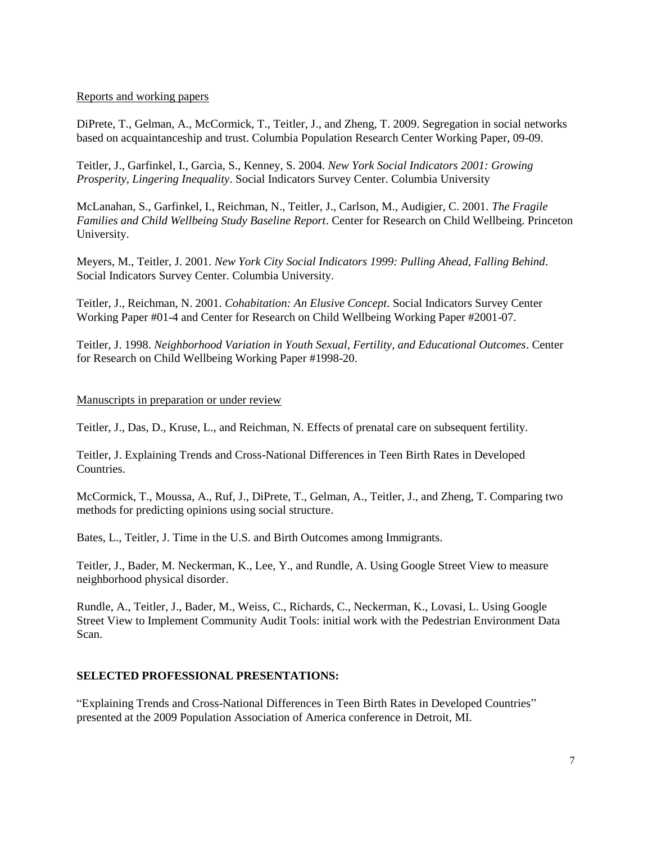### Reports and working papers

DiPrete, T., Gelman, A., McCormick, T., Teitler, J., and Zheng, T. 2009. Segregation in social networks based on acquaintanceship and trust. Columbia Population Research Center Working Paper, 09-09.

Teitler, J., Garfinkel, I., Garcia, S., Kenney, S. 2004. *New York Social Indicators 2001: Growing Prosperity, Lingering Inequality*. Social Indicators Survey Center. Columbia University

McLanahan, S., Garfinkel, I., Reichman, N., Teitler, J., Carlson, M., Audigier, C. 2001. *The Fragile Families and Child Wellbeing Study Baseline Report*. Center for Research on Child Wellbeing. Princeton University.

Meyers, M., Teitler, J. 2001. *New York City Social Indicators 1999: Pulling Ahead, Falling Behind*. Social Indicators Survey Center. Columbia University.

Teitler, J., Reichman, N. 2001. *Cohabitation: An Elusive Concept*. Social Indicators Survey Center Working Paper #01-4 and Center for Research on Child Wellbeing Working Paper #2001-07.

Teitler, J. 1998. *Neighborhood Variation in Youth Sexual, Fertility, and Educational Outcomes*. Center for Research on Child Wellbeing Working Paper #1998-20.

#### Manuscripts in preparation or under review

Teitler, J., Das, D., Kruse, L., and Reichman, N. Effects of prenatal care on subsequent fertility.

Teitler, J. Explaining Trends and Cross-National Differences in Teen Birth Rates in Developed Countries.

McCormick, T., Moussa, A., Ruf, J., DiPrete, T., Gelman, A., Teitler, J., and Zheng, T. Comparing two methods for predicting opinions using social structure.

Bates, L., Teitler, J. Time in the U.S. and Birth Outcomes among Immigrants.

Teitler, J., Bader, M. Neckerman, K., Lee, Y., and Rundle, A. Using Google Street View to measure neighborhood physical disorder.

Rundle, A., Teitler, J., Bader, M., Weiss, C., Richards, C., Neckerman, K., Lovasi, L. Using Google Street View to Implement Community Audit Tools: initial work with the Pedestrian Environment Data Scan.

## **SELECTED PROFESSIONAL PRESENTATIONS:**

"Explaining Trends and Cross-National Differences in Teen Birth Rates in Developed Countries" presented at the 2009 Population Association of America conference in Detroit, MI.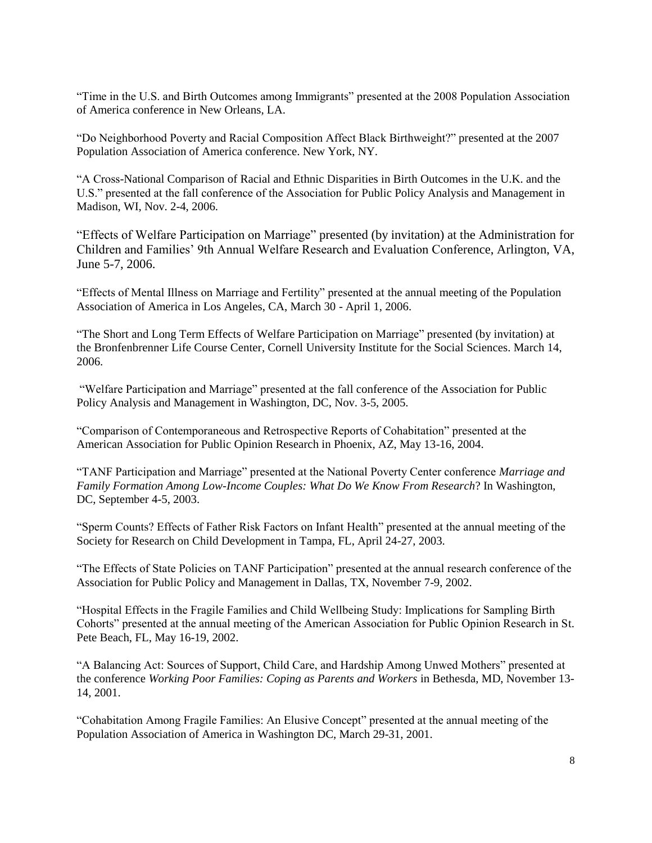"Time in the U.S. and Birth Outcomes among Immigrants" presented at the 2008 Population Association of America conference in New Orleans, LA.

"Do Neighborhood Poverty and Racial Composition Affect Black Birthweight?" presented at the 2007 Population Association of America conference. New York, NY.

"A Cross-National Comparison of Racial and Ethnic Disparities in Birth Outcomes in the U.K. and the U.S." presented at the fall conference of the Association for Public Policy Analysis and Management in Madison, WI, Nov. 2-4, 2006.

"Effects of Welfare Participation on Marriage" presented (by invitation) at the Administration for Children and Families" 9th Annual Welfare Research and Evaluation Conference, Arlington, VA, June 5-7, 2006.

"Effects of Mental Illness on Marriage and Fertility" presented at the annual meeting of the Population Association of America in Los Angeles, CA, March 30 - April 1, 2006.

"The Short and Long Term Effects of Welfare Participation on Marriage" presented (by invitation) at the Bronfenbrenner Life Course Center, Cornell University Institute for the Social Sciences. March 14, 2006.

"Welfare Participation and Marriage" presented at the fall conference of the Association for Public Policy Analysis and Management in Washington, DC, Nov. 3-5, 2005.

"Comparison of Contemporaneous and Retrospective Reports of Cohabitation" presented at the American Association for Public Opinion Research in Phoenix, AZ, May 13-16, 2004.

"TANF Participation and Marriage" presented at the National Poverty Center conference *Marriage and Family Formation Among Low-Income Couples: What Do We Know From Research*? In Washington, DC, September 4-5, 2003.

"Sperm Counts? Effects of Father Risk Factors on Infant Health" presented at the annual meeting of the Society for Research on Child Development in Tampa, FL, April 24-27, 2003.

"The Effects of State Policies on TANF Participation" presented at the annual research conference of the Association for Public Policy and Management in Dallas, TX, November 7-9, 2002.

"Hospital Effects in the Fragile Families and Child Wellbeing Study: Implications for Sampling Birth Cohorts" presented at the annual meeting of the American Association for Public Opinion Research in St. Pete Beach, FL, May 16-19, 2002.

"A Balancing Act: Sources of Support, Child Care, and Hardship Among Unwed Mothers" presented at the conference *Working Poor Families: Coping as Parents and Workers* in Bethesda, MD, November 13- 14, 2001.

"Cohabitation Among Fragile Families: An Elusive Concept" presented at the annual meeting of the Population Association of America in Washington DC, March 29-31, 2001.